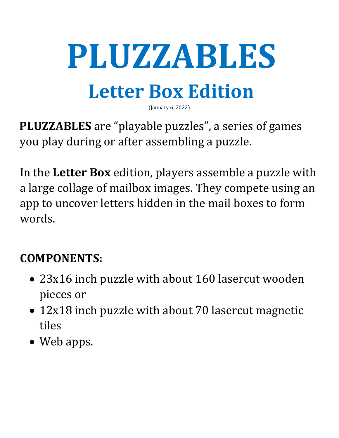# **PLUZZABLES**

## **Letter Box Edition**

(January 6, 2022)

**PLUZZABLES** are "playable puzzles", a series of games you play during or after assembling a puzzle.

In the **Letter Box** edition, players assemble a puzzle with a large collage of mailbox images. They compete using an app to uncover letters hidden in the mail boxes to form words.

### **COMPONENTS:**

- 23x16 inch puzzle with about 160 lasercut wooden pieces or
- 12x18 inch puzzle with about 70 lasercut magnetic tiles
- Web apps.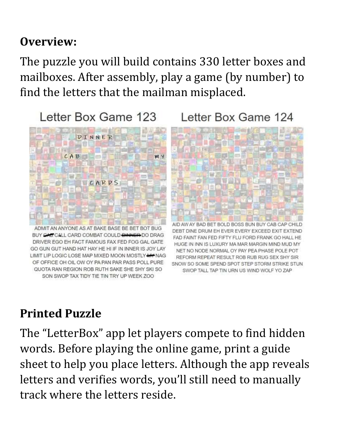#### **Overview:**

The puzzle you will build contains 330 letter boxes and mailboxes. After assembly, play a game (by number) to find the letters that the mailman misplaced.

Letter Box Game 123

Letter Box Game 124



SON SWOP TAX TIDY TIE TIN TRY UP WEEK ZOO

#### **Printed Puzzle**

The "LetterBox" app let players compete to find hidden words. Before playing the online game, print a guide sheet to help you place letters. Although the app reveals letters and verifies words, you'll still need to manually track where the letters reside.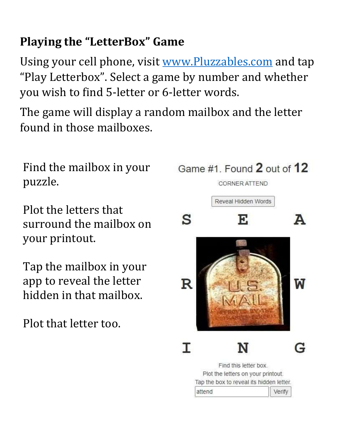#### **Playing the "LetterBox" Game**

Using your cell phone, visit [www.Pluzzables.com](http://www.pluzzables.com/) and tap "Play Letterbox". Select a game by number and whether you wish to find 5-letter or 6-letter words.

The game will display a random mailbox and the letter found in those mailboxes.

Find the mailbox in your puzzle.

Plot the letters that surround the mailbox on your printout.

Tap the mailbox in your app to reveal the letter hidden in that mailbox.

Plot that letter too.

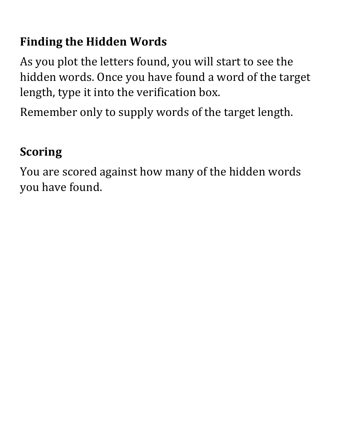#### **Finding the Hidden Words**

As you plot the letters found, you will start to see the hidden words. Once you have found a word of the target length, type it into the verification box.

Remember only to supply words of the target length.

#### **Scoring**

You are scored against how many of the hidden words you have found.